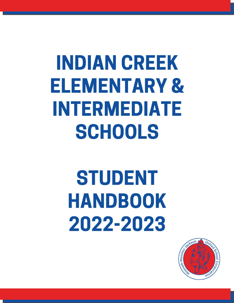# **INDIAN CREEK ELEMENTARY & INTERMEDIATE SCHOOLS**

# **STUDENT HANDBOOK** 2022-2023

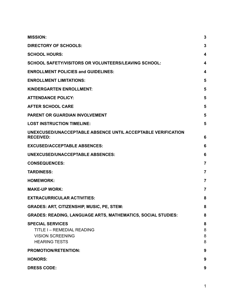| <b>MISSION:</b>                                                                                          | 3                |
|----------------------------------------------------------------------------------------------------------|------------------|
| <b>DIRECTORY OF SCHOOLS:</b>                                                                             | 3                |
| <b>SCHOOL HOURS:</b>                                                                                     | 4                |
| SCHOOL SAFETY/VISITORS OR VOLUNTEERS/LEAVING SCHOOL:                                                     | 4                |
| <b>ENROLLMENT POLICIES and GUIDELINES:</b>                                                               | 4                |
| <b>ENROLLMENT LIMITATIONS:</b>                                                                           | 5                |
| <b>KINDERGARTEN ENROLLMENT:</b>                                                                          | 5                |
| <b>ATTENDANCE POLICY:</b>                                                                                | 5                |
| <b>AFTER SCHOOL CARE</b>                                                                                 | 5                |
| <b>PARENT OR GUARDIAN INVOLVEMENT</b>                                                                    | 5                |
| <b>LOST INSTRUCTION TIMELINE:</b>                                                                        | 5                |
| UNEXCUSED/UNACCEPTABLE ABSENCE UNTIL ACCEPTABLE VERIFICATION<br><b>RECEIVED:</b>                         | 6                |
| <b>EXCUSED/ACCEPTABLE ABSENCES:</b>                                                                      | 6                |
| <b>UNEXCUSED/UNACCEPTABLE ABSENCES:</b>                                                                  | 6                |
| <b>CONSEQUENCES:</b>                                                                                     | $\overline{7}$   |
| <b>TARDINESS:</b>                                                                                        | 7                |
| <b>HOMEWORK:</b>                                                                                         | 7                |
| <b>MAKE-UP WORK:</b>                                                                                     | 7                |
| <b>EXTRACURRICULAR ACTIVITIES:</b>                                                                       | 8                |
| <b>GRADES: ART, CITIZENSHIP, MUSIC, PE, STEM:</b>                                                        | 8                |
| <b>GRADES: READING, LANGUAGE ARTS, MATHEMATICS, SOCIAL STUDIES:</b>                                      | 8                |
| <b>SPECIAL SERVICES</b><br>TITLE I - REMEDIAL READING<br><b>VISION SCREENING</b><br><b>HEARING TESTS</b> | 8<br>8<br>8<br>8 |
| PROMOTION/RETENTION:                                                                                     | 9                |
| <b>HONORS:</b>                                                                                           | 9                |
| <b>DRESS CODE:</b>                                                                                       | 9                |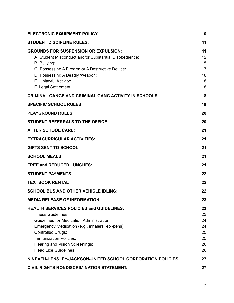| <b>ELECTRONIC EQUIPMENT POLICY:</b>                                                                                                                                                                                                                                                                                  | 10                                           |
|----------------------------------------------------------------------------------------------------------------------------------------------------------------------------------------------------------------------------------------------------------------------------------------------------------------------|----------------------------------------------|
| <b>STUDENT DISCIPLINE RULES:</b>                                                                                                                                                                                                                                                                                     | 11                                           |
| <b>GROUNDS FOR SUSPENSION OR EXPULSION:</b><br>A. Student Misconduct and/or Substantial Disobedience:<br>B. Bullying:<br>C. Possessing A Firearm or A Destructive Device:<br>D. Possessing A Deadly Weapon:<br>E. Unlawful Activity:<br>F. Legal Settlement:                                                         | 11<br>12<br>15<br>17<br>18<br>18<br>18       |
| <b>CRIMINAL GANGS AND CRIMINAL GANG ACTIVITY IN SCHOOLS:</b>                                                                                                                                                                                                                                                         | 18                                           |
| <b>SPECIFIC SCHOOL RULES:</b>                                                                                                                                                                                                                                                                                        | 19                                           |
| <b>PLAYGROUND RULES:</b>                                                                                                                                                                                                                                                                                             | 20                                           |
| <b>STUDENT REFERRALS TO THE OFFICE:</b>                                                                                                                                                                                                                                                                              | 20                                           |
| <b>AFTER SCHOOL CARE:</b>                                                                                                                                                                                                                                                                                            | 21                                           |
| <b>EXTRACURRICULAR ACTIVITIES:</b>                                                                                                                                                                                                                                                                                   | 21                                           |
| <b>GIFTS SENT TO SCHOOL:</b>                                                                                                                                                                                                                                                                                         | 21                                           |
| <b>SCHOOL MEALS:</b>                                                                                                                                                                                                                                                                                                 | 21                                           |
| <b>FREE and REDUCED LUNCHES:</b>                                                                                                                                                                                                                                                                                     | 21                                           |
| <b>STUDENT PAYMENTS</b>                                                                                                                                                                                                                                                                                              | 22                                           |
| <b>TEXTBOOK RENTAL</b>                                                                                                                                                                                                                                                                                               | 22                                           |
| <b>SCHOOL BUS AND OTHER VEHICLE IDLING:</b>                                                                                                                                                                                                                                                                          | 22                                           |
| <b>MEDIA RELEASE OF INFORMATION:</b>                                                                                                                                                                                                                                                                                 | 23                                           |
| <b>HEALTH SERVICES POLICIES and GUIDELINES:</b><br><b>Illness Guidelines:</b><br><b>Guidelines for Medication Administration:</b><br>Emergency Medication (e.g., inhalers, epi-pens):<br><b>Controlled Drugs:</b><br><b>Immunization Policies:</b><br>Hearing and Vision Screenings:<br><b>Head Lice Guidelines:</b> | 23<br>23<br>24<br>24<br>25<br>25<br>26<br>26 |
| NINEVEH-HENSLEY-JACKSON-UNITED SCHOOL CORPORATION POLICIES                                                                                                                                                                                                                                                           | 27                                           |
| <b>CIVIL RIGHTS NONDISCRIMINATION STATEMENT:</b>                                                                                                                                                                                                                                                                     | 27                                           |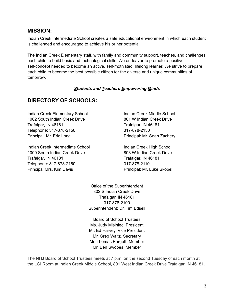#### <span id="page-3-0"></span>**MISSION:**

Indian Creek Intermediate School creates a safe educational environment in which each student is challenged and encouraged to achieve his or her potential.

The Indian Creek Elementary staff, with family and community support, teaches, and challenges each child to build basic and technological skills. We endeavor to promote a positive self-concept needed to become an active, self-motivated, lifelong learner. We strive to prepare each child to become the best possible citizen for the diverse and unique communities of tomorrow.

#### *Students and Teachers Empowering Minds*

#### <span id="page-3-1"></span>**DIRECTORY OF SCHOOLS:**

Indian Creek Elementary School 1002 South Indian Creek Drive Trafalgar, IN 46181 Telephone: 317-878-2150 Principal: Mr. Eric Long

Indian Creek Intermediate School 1000 South Indian Creek Drive Trafalgar, IN 46181 Telephone: 317-878-2160 Principal Mrs. Kim Davis

Indian Creek Middle School 801 W Indian Creek Drive Trafalgar, IN 46181 317-878-2130 Principal: Mr. Sean Zachery

Indian Creek High School 803 W Indian Creek Drive Trafalgar, IN 46181 317-878-2110 Principal: Mr. Luke Skobel

Office of the Superintendent 802 S Indian Creek Drive Trafalgar, IN 46181 317-878-2100 Superintendent: Dr. Tim Edsell

Board of School Trustees Ms. Judy Misiniec, President Mr. Ed Harvey, Vice President Mr. Greg Waltz, Secretary Mr. Thomas Burgett, Member Mr. Ben Swopes, Member

The NHJ Board of School Trustees meets at 7 p.m. on the second Tuesday of each month at the LGI Room at Indian Creek Middle School, 801 West Indian Creek Drive Trafalgar, IN 46181.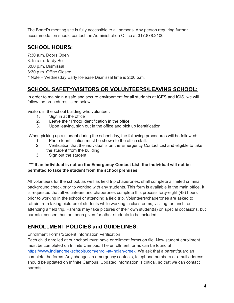The Board's meeting site is fully accessible to all persons. Any person requiring further accommodation should contact the Administration Office at 317.878.2100.

## <span id="page-4-0"></span>**SCHOOL HOURS:**

7:30 a.m. Doors Open 8:15 a.m. Tardy Bell 3:00 p.m. Dismissal 3:30 p.m. Office Closed \*\*Note – Wednesday Early Release Dismissal time is 2:00 p.m.

## <span id="page-4-1"></span>**SCHOOL SAFETY/VISITORS OR VOLUNTEERS/LEAVING SCHOOL:**

In order to maintain a safe and secure environment for all students at ICES and ICIS, we will follow the procedures listed below:

Visitors in the school building who volunteer:

- 1. Sign in at the office
- 2. Leave their Photo Identification in the office
- 3. Upon leaving, sign out in the office and pick up identification.

When picking up a student during the school day, the following procedures will be followed:

- 1. Photo Identification must be shown to the office staff.
- 2. Verification that the individual is on the Emergency Contact List and eligible to take the student from the building.
- 3. Sign out the student

#### **\*\*\* If an individual is not on the Emergency Contact List, the individual will not be permitted to take the student from the school premises**.

All volunteers for the school, as well as field trip chaperones, shall complete a limited criminal background check prior to working with any students. This form is available in the main office. It is requested that all volunteers and chaperones complete this process forty-eight (48) hours prior to working in the school or attending a field trip. Volunteers/chaperones are asked to refrain from taking pictures of students while working in classrooms, visiting for lunch, or attending a field trip. Parents may take pictures of their own student(s) on special occasions, but parental consent has not been given for other students to be included.

## <span id="page-4-2"></span>**ENROLLMENT POLICIES and GUIDELINES:**

Enrollment Forms/Student Information Verification

Each child enrolled at our school must have enrollment forms on file. New student enrollment must be completed on Infinite Campus. The enrollment forms can be found at [https://www.indiancreekschools.com/enroll-at-indian-creek.](https://www.indiancreekschools.com/enroll-at-indian-creek) We ask that a parent/guardian complete the forms. Any changes in emergency contacts, telephone numbers or email address should be updated on Infinite Campus. Updated information is critical, so that we can contact parents.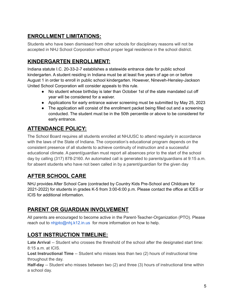# <span id="page-5-0"></span>**ENROLLMENT LIMITATIONS:**

Students who have been dismissed from other schools for disciplinary reasons will not be accepted in NHJ School Corporation without proper legal residence in the school district.

# <span id="page-5-1"></span>**KINDERGARTEN ENROLLMENT:**

Indiana statute I.C. 20-33-2-7 establishes a statewide entrance date for public school kindergarten. A student residing in Indiana must be at least five years of age on or before August 1 in order to enroll in public school kindergarten. However, Nineveh-Hensley-Jackson United School Corporation will consider appeals to this rule.

- No student whose birthday is later than October 1st of the state mandated cut off year will be considered for a waiver.
- Applications for early entrance waiver screening must be submitted by May 25, 2023
- The application will consist of the enrollment packet being filled out and a screening conducted. The student must be in the 50th percentile or above to be considered for early entrance.

# <span id="page-5-2"></span>**ATTENDANCE POLICY:**

The School Board requires all students enrolled at NHJUSC to attend regularly in accordance with the laws of the State of Indiana. The corporation's educational program depends on the consistent presence of all students to achieve continuity of instruction and a successful educational climate. A parent/guardian must report all absences prior to the start of the school day by calling (317) 878-2160. An automated call is generated to parents/guardians at 9:15 a.m. for absent students who have not been called in by a parent/guardian for the given day

# <span id="page-5-3"></span>**AFTER SCHOOL CARE**

NHJ provides After School Care (contracted by Country Kids Pre-School and Childcare for 2021-2022) for students in grades K-5 from 3:00-6:00 p.m. Please contact the office at ICES or ICIS for additional information.

# <span id="page-5-4"></span>**PARENT OR GUARDIAN INVOLVEMENT**

All parents are encouraged to become active in the Parent-Teacher-Organization (PTO). Please reach out to nhjpto@nhj.k12.in.us for more information on how to help.

# <span id="page-5-5"></span>**LOST INSTRUCTION TIMELINE:**

**Late Arrival** -- Student who crosses the threshold of the school after the designated start time: 8:15 a.m. at ICIS.

**Lost Instructional Time** -- Student who misses less than two (2) hours of instructional time throughout the day.

**Half-day** -- Student who misses between two (2) and three (3) hours of instructional time within a school day.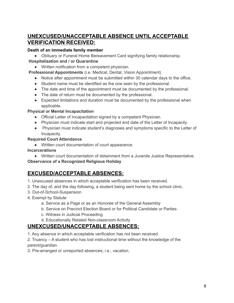## <span id="page-6-0"></span>**UNEXCUSED/UNACCEPTABLE ABSENCE UNTIL ACCEPTABLE VERIFICATION RECEIVED:**

#### **Death of an immediate family member**

● Obituary or Funeral Home Bereavement Card signifying family relationship.

#### **Hospitalization and / or Quarantine**

● Written notification from a competent physician.

**Professional Appointments** (i.e. Medical, Dental, Vision Appointment)

- Notice after appointment must be submitted within 30 calendar days to the office.
- Student name must be identified as the one seen by the professional.
- The date and time of the appointment must be documented by the professional.
- The date of return must be documented by the professional.
- Expected limitations and duration must be documented by the professional when applicable.

#### **Physical or Mental Incapacitation**

- Official Letter of Incapacitation signed by a competent Physician.
- Physician must indicate start and projected end date of the Letter of Incapacity.
- Physician must indicate student's diagnoses and symptoms specific to the Letter of Incapacity.

#### **Required Court Attendance**

- Written court documentation of court appearance.
- **Incarcerations**
	- Written court documentation of detainment from a Juvenile Justice Representative.

#### **Observance of a Recognized Religious Holiday**

## <span id="page-6-1"></span>**EXCUSED/ACCEPTABLE ABSENCES:**

- 1. Unexcused absences in which acceptable verification has been received.
- 2. The day of, and the day following, a student being sent home by the school clinic.
- 3. Out-of-School-Suspension
- 4. Exempt by Statute
	- a. Service as a Page or as an Honoree of the General Assembly
	- b. Service on Precinct Election Board or for Political Candidate or Parties
	- c. Witness in Judicial Proceeding
	- d. Educationally Related Non-classroom Activity

#### <span id="page-6-2"></span>**UNEXCUSED/UNACCEPTABLE ABSENCES:**

- 1. Any absence in which acceptable verification has not been received.
- 2. Truancy A student who has lost instructional time without the knowledge of the parent/guardian.
- 3. Pre-arranged or unreported absences; i.e., vacation.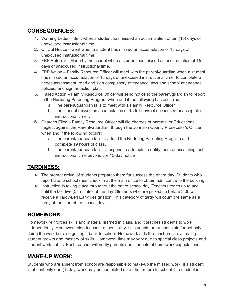## <span id="page-7-0"></span>**CONSEQUENCES:**

- 1. Warning Letter Sent when a student has missed an accumulation of ten (10) days of unexcused instructional time.
- 2. Official Notice Sent when a student has missed an accumulation of 15 days of unexcused instructional time.
- 3. FRP Referral Made by the school when a student has missed an accumulation of 15 days of unexcused instructional time.
- 4. FRP Action Family Resource Officer will meet with the parent/guardian when a student has missed an accumulation of 15 days of unexcused instructional time, to complete a needs assessment, read and sign compulsory attendance laws and school attendance policies, and sign an action plan.
- 5. Failed Action Family Resource Officer will send notice to the parent/guardian to report to the Nurturing Parenting Program when and if the following has occurred:
	- a. The parent/guardian fails to meet with a Family Resource Officer
	- b. The student misses an accumulation of 15 full days of unexcused/unacceptable instructional time. .
- 6. Charges Filed Family Resource Officer will file charges of parental or Educational neglect against the Parent/Guardian, through the Johnson County Prosecutor's Officer, when and if the following occurs:
	- a. The parent/guardian fails to attend the Nurturing Parenting Program and complete 19 hours of class.
	- b. The parent/guardian fails to respond to attempts to notify them of escalating lost instructional time beyond the 15-day notice

# <span id="page-7-1"></span>**TARDINESS:**

- The prompt arrival of students prepares them for success the entire day. Students who report late to school must check in at the main office to obtain admittance to the building.
- Instruction is taking place throughout the entire school day. Teachers teach up to and until the last five (5) minutes of the day. Students who are picked up before 3:00 will receive a Tardy-Left Early designation. This category of tardy will count the same as a tardy at the start of the school day.

# <span id="page-7-2"></span>**HOMEWORK:**

Homework reinforces skills and material learned in class, and it teaches students to work independently. Homework also teaches responsibility, as students are responsible for not only doing the work but also getting it back to school. Homework aids the teachers in evaluating student growth and mastery of skills. Homework time may vary due to special class projects and student work habits. Each teacher will notify parents and students of homework expectations.

# <span id="page-7-3"></span>**MAKE-UP WORK:**

Students who are absent from school are responsible to make-up the missed work. If a student is absent only one (1) day, work may be completed upon their return to school. If a student is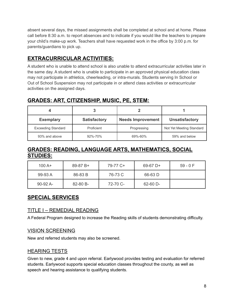absent several days, the missed assignments shall be completed at school and at home. Please call before 8:30 a.m. to report absences and to indicate if you would like the teachers to prepare your child's make-up work. Teachers shall have requested work in the office by 3:00 p.m. for parents/guardians to pick up.

# <span id="page-8-0"></span>**EXTRACURRICULAR ACTIVITIES:**

A student who is unable to attend school is also unable to attend extracurricular activities later in the same day. A student who is unable to participate in an approved physical education class may not participate in athletics, cheerleading, or intra-murals. Students serving In School or Out of School Suspension may not participate in or attend class activities or extracurricular activities on the assigned days.

# <span id="page-8-1"></span>**GRADES: ART, CITIZENSHIP, MUSIC, PE, STEM:**

| <b>Exemplary</b>          | <b>Satisfactory</b> |             | <b>Unsatisfactory</b>    |
|---------------------------|---------------------|-------------|--------------------------|
| <b>Exceeding Standard</b> | Proficient          | Progressing | Not Yet Meeting Standard |
| 93% and above             | 92%-70%             | 69%-60%     | 59% and below            |

#### <span id="page-8-2"></span>**GRADES: READING, LANGUAGE ARTS, MATHEMATICS, SOCIAL STUDIES:**

| $100A+$   | $89-87 B+$ | 79-77 C+ | $69-67$ D+ | $59 - 0 F$ |
|-----------|------------|----------|------------|------------|
| 99-93 A   | 86-83 B    | 76-73 C  | 66-63 D    |            |
| $90-92A-$ | 82-80 B-   | 72-70 C- | 62-60 D-   |            |

# <span id="page-8-3"></span>**SPECIAL SERVICES**

#### <span id="page-8-4"></span>TITLE I – REMEDIAL READING

<span id="page-8-5"></span>A Federal Program designed to increase the Reading skills of students demonstrating difficulty.

#### VISION SCREENING

<span id="page-8-6"></span>New and referred students may also be screened.

#### **HEARING TESTS**

Given to new, grade 4 and upon referral. Earlywood provides testing and evaluation for referred students. Earlywood supports special education classes throughout the county, as well as speech and hearing assistance to qualifying students.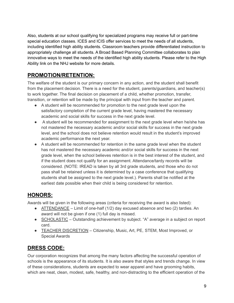Also, students at our school qualifying for specialized programs may receive full or part-time special education classes. ICES and ICIS offer services to meet the needs of all students, including identified high ability students. Classroom teachers provide differentiated instruction to appropriately challenge all students. A Broad Based Planning Committee collaborates to plan innovative ways to meet the needs of the identified high ability students. Please refer to the High Ability link on the NHJ website for more details.

# <span id="page-9-0"></span>**PROMOTION/RETENTION:**

The welfare of the student is our primary concern in any action, and the student shall benefit from the placement decision. There is a need for the student, parents/guardians, and teacher(s) to work together. The final decision on placement of a child, whether promotion, transfer, transition, or retention will be made by the principal with input from the teacher and parent.

- A student will be recommended for promotion to the next grade level upon the satisfactory completion of the current grade level, having mastered the necessary academic and social skills for success in the next grade level.
- A student will be recommended for assignment to the next grade level when he/she has not mastered the necessary academic and/or social skills for success in the next grade level, and the school does not believe retention would result in the student's improved academic performance the next year.
- A student will be recommended for retention in the same grade level when the student has not mastered the necessary academic and/or social skills for success in the next grade level, when the school believes retention is in the best interest of the student, and if the student does not qualify for an assignment. Attendance/tardy records will be considered. (NOTE: IREAD is taken by all 3rd grade students, and those who do not pass shall be retained unless it is determined by a case conference that qualifying students shall be assigned to the next grade level.). Parents shall be notified at the earliest date possible when their child is being considered for retention.

# <span id="page-9-1"></span>**HONORS:**

Awards will be given in the following areas (criteria for receiving the award is also listed):

- ATTENDANCE Limit of one-half (1/2) day excused absence and two (2) tardies. An award will not be given if one (1) full day is missed.
- SCHOLASTIC Outstanding achievement by subject. "A" average in a subject on report card.
- TEACHER DISCRETION Citizenship, Music, Art, PE, STEM, Most Improved, or Special Awards

# <span id="page-9-2"></span>**DRESS CODE:**

Our corporation recognizes that among the many factors affecting the successful operation of schools is the appearance of its students. It is also aware that styles and trends change. In view of these considerations, students are expected to wear apparel and have grooming habits, which are neat, clean, modest, safe, healthy, and non-distracting to the efficient operation of the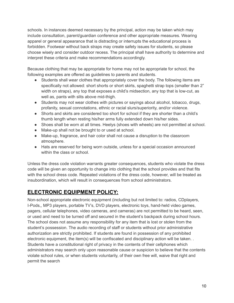schools. In instances deemed necessary by the principal, action may be taken which may include consultation, parent/guardian conference and other appropriate measures. Wearing apparel or general appearance that is distracting or interrupts the educational process is forbidden. Footwear without back straps may create safety issues for students, so please choose wisely and consider outdoor recess. The principal shall have authority to determine and interpret these criteria and make recommendations accordingly.

Because clothing that may be appropriate for home may not be appropriate for school, the following examples are offered as guidelines to parents and students.

- Students shall wear clothes that appropriately cover the body. The following items are specifically not allowed: short shorts or short skirts, spaghetti strap tops (smaller than 2" width on straps), any top that exposes a child's midsection, any top that is low-cut, as well as, pants with slits above mid-thigh.
- Students may not wear clothes with pictures or sayings about alcohol, tobacco, drugs, profanity, sexual connotations, ethnic or racial slurs/superiority, and/or violence.
- Shorts and skirts are considered too short for school if they are shorter than a child's thumb length when resting his/her arms fully extended down his/her sides.
- Shoes shall be worn at all times. Heelys (shoes with wheels) are not permitted at school.
- Make-up shall not be brought to or used at school.
- Make-up, fragrance, and hair color shall not cause a disruption to the classroom atmosphere.
- Hats are reserved for being worn outside, unless for a special occasion announced within the class or school

Unless the dress code violation warrants greater consequences, students who violate the dress code will be given an opportunity to change into clothing that the school provides and that fits with the school dress code. Repeated violations of the dress code, however, will be treated as insubordination, which will result in consequences from school administrators.

## <span id="page-10-0"></span>**ELECTRONIC EQUIPMENT POLICY:**

Non-school appropriate electronic equipment (including but not limited to: radios, CDplayers, I-Pods,, MP3 players, portable TV's, DVD players, electronic toys, hand-held video games, pagers, cellular telephones, video cameras, and cameras) are not permitted to be heard, seen, or used and need to be turned off and secured in the student's backpack during school hours. The school does not assume any responsibility for any item that is lost or stolen from the student's possession. The audio recording of staff or students without prior administrative authorization are strictly prohibited. If students are found in possession of any prohibited electronic equipment, the item(s) will be confiscated and disciplinary action will be taken. . Students have a constitutional right of privacy in the contents of their cellphones which administrators may search only upon reasonable cause or suspicion to believe that the contents violate school rules, or when students voluntarily, of their own free will, waive that right and permit the search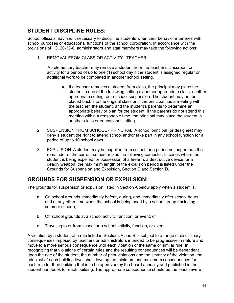## <span id="page-11-0"></span>**STUDENT DISCIPLINE RULES:**

School officials may find it necessary to discipline students when their behavior interferes with school purposes or educational functions of the school corporation. In accordance with the provisions of I.C. 20-33-8, administrators and staff members may take the following actions:

1. REMOVAL FROM CLASS OR ACTIVITY - TEACHER:

An elementary teacher may remove a student from the teacher's classroom or activity for a period of up to one (1) school day if the student is assigned regular or additional work to be completed in another school setting.

- If a teacher removes a student from class, the principal may place the student in one of the following settings: another appropriate class, another appropriate setting, or in-school suspension. The student may not be placed back into the original class until the principal has a meeting with the teacher, the student, and the student's parents to determine an appropriate behavior plan for the student. If the parents do not attend this meeting within a reasonable time, the principal may place the student in another class or educational setting.
- 2. SUSPENSION FROM SCHOOL PRINCIPAL: A school principal (or designee) may deny a student the right to attend school and/or take part in any school function for a period of up to 10 school days.
- 3. EXPULSION: A student may be expelled from school for a period no longer than the remainder of the current semester plus the following semester. In cases where the student is being expelled for possession of a firearm, a destructive device, or a deadly weapon, the maximum length of the expulsion period is listed under the Grounds for Suspension and Expulsion, Section C and Section D.

## <span id="page-11-1"></span>**GROUNDS FOR SUSPENSION OR EXPULSION:**

The grounds for suspension or expulsion listed in Section A below apply when a student is:

- a. On school grounds immediately before, during, and immediately after school hours and at any other time when the school is being used by a school group (including summer school);
- b. Off school grounds at a school activity, function, or event; or
- c. Traveling to or from school or a school activity, function, or event.

A violation by a student of a rule listed in Sections A and B is subject to a range of disciplinary consequences imposed by teachers or administrators intended to be progressive in nature and move to a more serious consequence with each violation of the same or similar rule. In recognizing that violations of certain rules and the resulting consequences will be dependent upon the age of the student, the number of prior violations and the severity of the violation, the principal of each building level shall develop the minimum and maximum consequences for each rule for their building that is to be approved by the board annually and published in the student handbook for each building. The appropriate consequence should be the least severe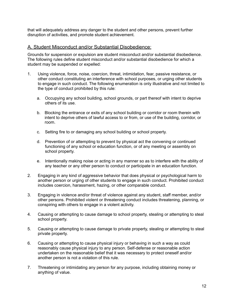that will adequately address any danger to the student and other persons, prevent further disruption of activities, and promote student achievement.

#### <span id="page-12-0"></span>A. Student Misconduct and/or Substantial Disobedience:

Grounds for suspension or expulsion are student misconduct and/or substantial disobedience. The following rules define student misconduct and/or substantial disobedience for which a student may be suspended or expelled:

- 1. Using violence, force, noise, coercion, threat, intimidation, fear, passive resistance, or other conduct constituting an interference with school purposes, or urging other students to engage in such conduct. The following enumeration is only illustrative and not limited to the type of conduct prohibited by this rule:
	- a. Occupying any school building, school grounds, or part thereof with intent to deprive others of its use.
	- b. Blocking the entrance or exits of any school building or corridor or room therein with intent to deprive others of lawful access to or from, or use of the building, corridor, or room.
	- c. Setting fire to or damaging any school building or school property.
	- d. Prevention of or attempting to prevent by physical act the convening or continued functioning of any school or education function, or of any meeting or assembly on school property.
	- e. Intentionally making noise or acting in any manner so as to interfere with the ability of any teacher or any other person to conduct or participate in an education function.
- 2. Engaging in any kind of aggressive behavior that does physical or psychological harm to another person or urging of other students to engage in such conduct. Prohibited conduct includes coercion, harassment, hazing, or other comparable conduct.
- 3. Engaging in violence and/or threat of violence against any student, staff member, and/or other persons. Prohibited violent or threatening conduct includes threatening, planning, or conspiring with others to engage in a violent activity.
- 4. Causing or attempting to cause damage to school property, stealing or attempting to steal school property.
- 5. Causing or attempting to cause damage to private property, stealing or attempting to steal private property.
- 6. Causing or attempting to cause physical injury or behaving in such a way as could reasonably cause physical injury to any person. Self-defense or reasonable action undertaken on the reasonable belief that it was necessary to protect oneself and/or another person is not a violation of this rule.
- 7. Threatening or intimidating any person for any purpose, including obtaining money or anything of value.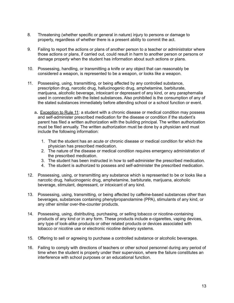- 8. Threatening (whether specific or general in nature) injury to persons or damage to property, regardless of whether there is a present ability to commit the act.
- 9. Failing to report the actions or plans of another person to a teacher or administrator where those actions or plans, if carried out, could result in harm to another person or persons or damage property when the student has information about such actions or plans.
- 10. Possessing, handling, or transmitting a knife or any object that can reasonably be considered a weapon, is represented to be a weapon, or looks like a weapon.
- 11. Possessing, using, transmitting, or being affected by any controlled substance, prescription drug, narcotic drug, hallucinogenic drug, amphetamine, barbiturate, marijuana, alcoholic beverage, intoxicant or depressant of any kind, or any paraphernalia used in connection with the listed substances. Also prohibited is the consumption of any of the stated substances immediately before attending school or a school function or event.
	- a**.** Exception to Rule 11: a student with a chronic disease or medical condition may possess and self-administer prescribed medication for the disease or condition if the student's parent has filed a written authorization with the building principal. The written authorization must be filed annually. The written authorization must be done by a physician and must include the following information:
		- 1. That the student has an acute or chronic disease or medical condition for which the physician has prescribed medication.
		- 2. The nature of the disease or medical condition requires emergency administration of the prescribed medication.
		- 3. The student has been instructed in how to self-administer the prescribed medication.
		- 4. The student is authorized to possess and self-administer the prescribed medication.
- 12. Possessing, using, or transmitting any substance which is represented to be or looks like a narcotic drug, hallucinogenic drug, amphetamine, barbiturate, marijuana, alcoholic beverage, stimulant, depressant, or intoxicant of any kind.
- 13. Possessing, using, transmitting, or being affected by caffeine-based substances other than beverages, substances containing phenylpropanolamine (PPA), stimulants of any kind, or any other similar over-the-counter products.
- 14. Possessing, using, distributing, purchasing, or selling tobacco or nicotine-containing products of any kind or in any form. These products include e-cigarettes, vaping devices, any type of look-alike products or other related products or devices associated with tobacco or nicotine use or electronic nicotine delivery systems.
- 15. Offering to sell or agreeing to purchase a controlled substance or alcoholic beverages.
- 16. Failing to comply with directions of teachers or other school personnel during any period of time when the student is properly under their supervision, where the failure constitutes an interference with school purposes or an educational function.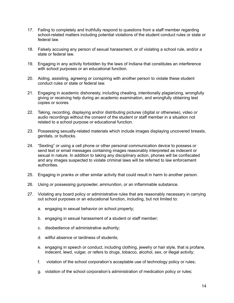- 17. Failing to completely and truthfully respond to questions from a staff member regarding school-related matters including potential violations of the student conduct rules or state or federal law.
- 18. Falsely accusing any person of sexual harassment, or of violating a school rule, and/or a state or federal law.
- 19. Engaging in any activity forbidden by the laws of Indiana that constitutes an interference with school purposes or an educational function.
- 20. Aiding, assisting, agreeing or conspiring with another person to violate these student conduct rules or state or federal law.
- 21. Engaging in academic dishonesty, including cheating, intentionally plagiarizing, wrongfully giving or receiving help during an academic examination, and wrongfully obtaining test copies or scores.
- 22. Taking, recording, displaying and/or distributing pictures (digital or otherwise), video or audio recordings without the consent of the student or staff member in a situation not related to a school purpose or educational function.
- 23. Possessing sexually-related materials which include images displaying uncovered breasts, genitals, or buttocks.
- 24. "Sexting" or using a cell phone or other personal communication device to possess or send text or email messages containing images reasonably interpreted as indecent or sexual in nature. In addition to taking any disciplinary action, phones will be confiscated and any images suspected to violate criminal laws will be referred to law enforcement authorities.
- 25. Engaging in pranks or other similar activity that could result in harm to another person.
- 26. Using or possessing gunpowder, ammunition, or an inflammable substance.
- 27. Violating any board policy or administrative rules that are reasonably necessary in carrying out school purposes or an educational function, including, but not limited to:
	- a. engaging in sexual behavior on school property;
	- b. engaging in sexual harassment of a student or staff member;
	- c. disobedience of administrative authority;
	- d. willful absence or tardiness of students;
	- e. engaging in speech or conduct, including clothing, jewelry or hair style, that is profane, indecent, lewd, vulgar, or refers to drugs, tobacco, alcohol, sex, or illegal activity;
	- f. violation of the school corporation's acceptable use of technology policy or rules;
	- g. violation of the school corporation's administration of medication policy or rules;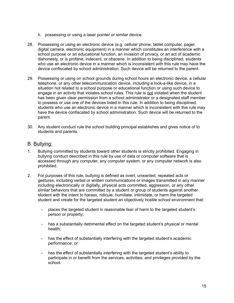- h. possessing or using a laser pointer or similar device.
- 28. Possessing or using an electronic device (e.g. cellular phone, tablet computer, pager, digital camera, electronic equipment) in a manner which constitutes an interference with a school purpose or an educational function, an invasion of privacy, or an act of academic dishonesty, or is profane, indecent, or obscene. In addition to being disciplined, students who use an electronic device in a manner which is inconsistent with this rule may have the device confiscated by school administration. Such device will be returned to the parent.
- 29. Possessing or using on school grounds during school hours an electronic device, a cellular telephone, or any other telecommunication device, including a look-a-like device, in a situation not related to a school purpose or educational function or using such device to engage in an activity that violates school rules. This rule is not violated when the student has been given clear permission from a school administrator or a designated staff member to possess or use one of the devices listed in this rule. In addition to being disciplined, students who use an electronic device in a manner which is inconsistent with this rule may have the device confiscated by school administration. Such device will be returned to the parent.
- 30. Any student conduct rule the school building principal establishes and gives notice of to students and parents.

#### <span id="page-15-0"></span>B. Bullying:

- 1. Bullying committed by students toward other students is strictly prohibited. Engaging in bullying conduct described in this rule by use of data or computer software that is accessed through any computer, any computer system, or any computer network is also prohibited.
- 2. For purposes of this rule, bullying is defined as overt, unwanted, repeated acts or gestures, including verbal or written communications or images transmitted in any manner including electronically or digitally, physical acts committed, aggression, or any other similar behaviors that are committed by a student or group of students against another student with the intent to harass, ridicule, humiliate, intimidate, or harm the targeted student and create for the targeted student an objectively hostile school environment that:
	- places the targeted student in reasonable fear of harm to the targeted student's person or property;
	- has a substantially detrimental effect on the targeted student's physical or mental health;
	- has the effect of substantially interfering with the targeted student's academic performance; or
	- has the effect of substantially interfering with the targeted student's ability to participate in or benefit from the services, activities, and privileges provided by the school.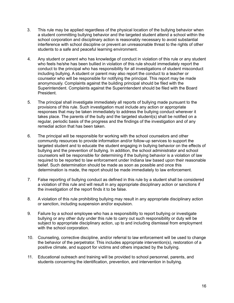- 3. This rule may be applied regardless of the physical location of the bullying behavior when a student committing bullying behavior and the targeted student attend a school within the school corporation and disciplinary action is reasonably necessary to avoid substantial interference with school discipline or prevent an unreasonable threat to the rights of other students to a safe and peaceful learning environment.
- 4. Any student or parent who has knowledge of conduct in violation of this rule or any student who feels he/she has been bullied in violation of this rule should immediately report the conduct to the principal who has responsibility for all investigations of student misconduct including bullying. A student or parent may also report the conduct to a teacher or counselor who will be responsible for notifying the principal. This report may be made anonymously. Complaints against the building principal should be filed with the Superintendent. Complaints against the Superintendent should be filed with the Board President.
- 5. The principal shall investigate immediately all reports of bullying made pursuant to the provisions of this rule. Such investigation must include any action or appropriate responses that may be taken immediately to address the bullying conduct wherever it takes place. The parents of the bully and the targeted student(s) shall be notified on a regular, periodic basis of the progress and the findings of the investigation and of any remedial action that has been taken.
- 6. The principal will be responsible for working with the school counselors and other community resources to provide information and/or follow-up services to support the targeted student and to educate the student engaging in bullying behavior on the effects of bullying and the prevention of bullying. In addition, the school administrator and school counselors will be responsible for determining if the bullying behavior is a violation of law required to be reported to law enforcement under Indiana law based upon their reasonable belief. Such determination should be made as soon as possible and once this determination is made, the report should be made immediately to law enforcement.
- 7. False reporting of bullying conduct as defined in this rule by a student shall be considered a violation of this rule and will result in any appropriate disciplinary action or sanctions if the investigation of the report finds it to be false.
- 8. A violation of this rule prohibiting bullying may result in any appropriate disciplinary action or sanction, including suspension and/or expulsion.
- 9. Failure by a school employee who has a responsibility to report bullying or investigate bullying or any other duty under this rule to carry out such responsibility or duty will be subject to appropriate disciplinary action, up to and including dismissal from employment with the school corporation.
- 10. Counseling, corrective discipline, and/or referral to law enforcement will be used to change the behavior of the perpetrator. This includes appropriate intervention(s), restoration of a positive climate, and support for victims and others impacted by the bullying.
- 11. Educational outreach and training will be provided to school personnel, parents, and students concerning the identification, prevention, and intervention in bullying.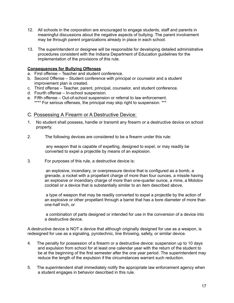- 12. All schools in the corporation are encouraged to engage students, staff and parents in meaningful discussions about the negative aspects of bullying. The parent involvement may be through parent organizations already in place in each school.
- 13. The superintendent or designee will be responsible for developing detailed administrative procedures consistent with the Indiana Department of Education guidelines for the implementation of the provisions of this rule.

#### **Consequences for Bullying Offenses**

- a. First offense Teacher and student conference.
- b. Second Offense Student conference with principal or counselor and a student improvement plan is created.
- c. Third offense Teacher, parent, principal, counselor, and student conference.
- d. Fourth offense In-school suspension.
- e. Fifth offense Out-of-school suspension or referral to law enforcement. \*\*\*\* For serious offenses, the principal may skip right to suspension. \*\*\*

#### <span id="page-17-0"></span>C. Possessing A Firearm or A Destructive Device:

- 1. No student shall possess, handle or transmit any firearm or a destructive device on school property.
- 2. The following devices are considered to be a firearm under this rule:

any weapon that is capable of expelling, designed to expel, or may readily be converted to expel a projectile by means of an explosion.

3. For purposes of this rule, a destructive device is:

an explosive, incendiary, or overpressure device that is configured as a bomb, a grenade, a rocket with a propellant charge of more than four ounces, a missile having an explosive or incendiary charge of more than one-quarter ounce, a mine, a Molotov cocktail or a device that is substantially similar to an item described above,

a type of weapon that may be readily converted to expel a projectile by the action of an explosive or other propellant through a barrel that has a bore diameter of more than one-half inch, or

a combination of parts designed or intended for use in the conversion of a device into a destructive device.

A destructive device is NOT a device that although originally designed for use as a weapon, is redesigned for use as a signaling, pyrotechnic, line throwing, safety, or similar device.

- 4. The penalty for possession of a firearm or a destructive device: suspension up to 10 days and expulsion from school for at least one calendar year with the return of the student to be at the beginning of the first semester after the one year period. The superintendent may reduce the length of the expulsion if the circumstances warrant such reduction.
- 5. The superintendent shall immediately notify the appropriate law enforcement agency when a student engages in behavior described in this rule.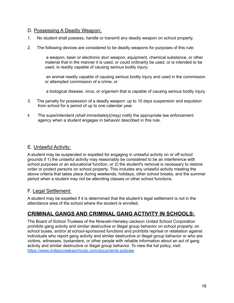#### <span id="page-18-0"></span>D. Possessing A Deadly Weapon:

- 1. No student shall possess, handle or transmit any deadly weapon on school property.
- 2. The following devices are considered to be deadly weapons for purposes of this rule:

a weapon, taser or electronic stun weapon, equipment, chemical substance, or other material that in the manner it is used, or could ordinarily be used, or is intended to be used, is readily capable of causing serious bodily injury;

an animal readily capable of causing serious bodily injury and used in the commission or attempted commission of a crime; or

a biological disease, virus, or organism that is capable of causing serious bodily injury.

- 3. The penalty for possession of a deadly weapon: up to 10 days suspension and expulsion from school for a period of up to one calendar year.
- 4. The superintendent *(shall immediately)(may)* notify the appropriate law enforcement agency when a student engages in behavior described in this rule.

#### <span id="page-18-1"></span>E. Unlawful Activity:

A student may be suspended or expelled for engaging in unlawful activity on or off school grounds if 1) the unlawful activity may reasonably be considered to be an interference with school purposes or an educational function, or 2) the student's removal is necessary to restore order or protect persons on school property. This includes any unlawful activity meeting the above criteria that takes place during weekends, holidays, other school breaks, and the summer period when a student may not be attending classes or other school functions.

#### <span id="page-18-2"></span>F. Legal Settlement:

A student may be expelled if it is determined that the student's legal settlement is not in the attendance area of the school where the student is enrolled.

#### <span id="page-18-3"></span>**CRIMINAL GANGS AND CRIMINAL GANG ACTIVITY IN SCHOOLS:**

The Board of School Trustees of the Nineveh-Hensley-Jackson United School Corporation prohibits gang activity and similar destructive or illegal group behavior on school property, on school buses, and/or at school-sponsored functions and prohibits reprisal or retaliation against individuals who report gang activity and similar destructive or illegal group behavior or who are victims, witnesses, bystanders, or other people with reliable information about an act of gang activity and similar destructive or illegal group behavior. To view the full policy, visit: <https://www.indiancreeksschools.com/documents-policies>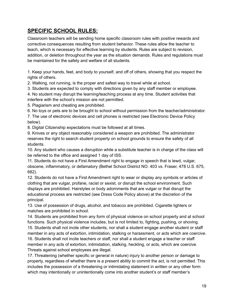## <span id="page-19-0"></span>**SPECIFIC SCHOOL RULES:**

Classroom teachers will be sending home specific classroom rules with positive rewards and corrective consequences resulting from student behavior. These rules allow the teacher to teach, which is necessary for effective learning by students. Rules are subject to revision, addition, or deletion throughout the year as the situation demands. Rules and regulations must be maintained for the safety and welfare of all students.

1. Keep your hands, feet, and body to yourself, and off of others, showing that you respect the rights of others.

2. Walking, not running, is the proper and safest way to travel while at school.

3. Students are expected to comply with directions given by any staff member or employee.

4. No student may disrupt the learning/teaching process at any time. Student activities that

interfere with the school's mission are not permitted.

5. Plagiarism and cheating are prohibited.

6. No toys or pets are to be brought to school without permission from the teacher/administrator.

7. The use of electronic devices and cell phones is restricted (see Electronic Device Policy below).

8. Digital Citizenship expectations must be followed at all times.

9. Knives or any object reasonably considered a weapon are prohibited. The administrator reserves the right to search student property on school grounds to ensure the safety of all students.

10. Any student who causes a disruption while a substitute teacher is in charge of the class will be referred to the office and assigned 1 day of ISS.

11. Students do not have a First Amendment right to engage in speech that is lewd, vulgar, obscene, inflammatory, or defamatory (Bethel School District NO. 403 vs. Fraser, 478 U.S. 675, 682).

12. Students do not have a First Amendment right to wear or display any symbols or articles of clothing that are vulgar, profane, racist or sexist, or disrupt the school environment. Such displays are prohibited. Hairstyles or body adornments that are vulgar or that disrupt the educational process are restricted (see Dress Code Policy above) at the discretion of the principal.

13. Use of possession of drugs, alcohol, and tobacco are prohibited. Cigarette lighters or matches are prohibited in school.

14. Students are prohibited from any form of physical violence on school property and at school functions. Such physical violence includes, but is not limited to, fighting, pushing, or shoving. 15. Students shall not incite other students, nor shall a student engage another student or staff member in any acts of extortion, intimidation, stalking or harassment, or acts which are coercive. 16. Students shall not incite teachers or staff, nor shall a student engage a teacher or staff member in any acts of extortion, intimidation, stalking, heckling, or acts, which are coercive. Threats against school employees are illegal.

17. Threatening (whether specific or general in nature) injury to another person or damage to property, regardless of whether there is a present ability to commit the act, is not permitted. This includes the possession of a threatening or intimidating statement in written or any other form which may intentionally or unintentionally come into another student's or staff member's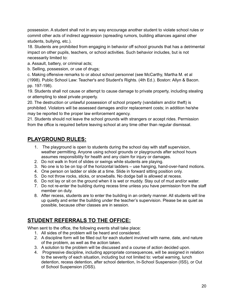possession. A student shall not in any way encourage another student to violate school rules or commit other acts of indirect aggression (spreading rumors, building alliances against other students, bullying, etc.).

18. Students are prohibited from engaging in behavior off school grounds that has a detrimental impact on other pupils, teachers, or school activities. Such behavior includes, but is not necessarily limited to:

a. Assault, battery, or criminal acts;

b. Selling, possession, or use of drugs;

c. Making offensive remarks to or about school personnel (see McCarthy, Martha M. et al (1998). Public School Law: Teacher's and Student's Rights. (4th Ed.). Boston: Allyn & Bacon. pp. 197-198).

19. Students shall not cause or attempt to cause damage to private property, including stealing or attempting to steal private property.

20. The destruction or unlawful possession of school property (vandalism and/or theft) is prohibited. Violators will be assessed damages and/or replacement costs; in addition he/she may be reported to the proper law enforcement agency.

21. Students should not leave the school grounds with strangers or accept rides. Permission from the office is required before leaving school at any time other than regular dismissal.

# <span id="page-20-0"></span>**PLAYGROUND RULES:**

- 1. The playground is open to students during the school day with staff supervision, weather permitting. Anyone using school grounds or playgrounds after school hours assumes responsibility for health and any claim for injury or damages.
- 2. Do not walk in front of slides or swings while students are playing.
- 3. No one is to be on top of the horizontal ladders use hanging, hand-over-hand motions.
- 4. One person on ladder or slide at a time. Slide in forward sitting position only.
- 5. Do not throw rocks, sticks, or snowballs. No dodge ball is allowed at recess.
- 6. Do not lay or sit on the ground when it is wet or muddy. Stay out of mud and/or water.
- 7. Do not re-enter the building during recess time unless you have permission from the staff member on duty.
- 8. After recess, students are to enter the building in an orderly manner. All students will line up quietly and enter the building under the teacher's supervision. Please be as quiet as possible, because other classes are in session.

# <span id="page-20-1"></span>**STUDENT REFERRALS TO THE OFFICE:**

When sent to the office, the following events shall take place:

- 1. All sides of the problem will be heard and considered.
- 2. A discipline form will be filled out for each student involved with name, date, and nature of the problem, as well as the action taken.
- 3. A solution to the problem will be discussed and a course of action decided upon.
- 4. Progressive discipline, including appropriate consequences, will be assigned in relation to the severity of each situation, including but not limited to: verbal warning, lunch detention, recess detention, after school detention, In-School Suspension (ISS), or Out of School Suspension (OSS).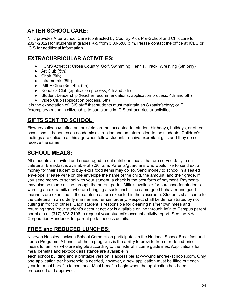# <span id="page-21-0"></span>**AFTER SCHOOL CARE:**

NHJ provides After School Care (contracted by Country Kids Pre-School and Childcare for 2021-2022) for students in grades K-5 from 3:00-6:00 p.m. Please contact the office at ICES or ICIS for additional information.

## <span id="page-21-1"></span>**EXTRACURRICULAR ACTIVITIES:**

- ICMS Athletics: Cross Country, Golf, Swimming, Tennis, Track, Wrestling (5th only)
- Art Club (5th)
- Choir (5th)
- Intramurals (5th)
- MILE Club (3rd, 4th, 5th)
- Robotics Club (application process, 4th and 5th)
- Student Leadership (teacher recommendations, application process, 4th and 5th)
- Video Club (application process, 5th)

It is the expectation of ICIS staff that students must maintain an S (satisfactory) or E (exemplary) rating in citizenship to participate in ICIS extracurricular activities.

## <span id="page-21-2"></span>**GIFTS SENT TO SCHOOL:**

Flowers/balloons/stuffed animals/etc. are not accepted for student birthdays, holidays, or other occasions. It becomes an academic distraction and an interruption to the students. Children's feelings are delicate at this age when fellow students receive exorbitant gifts and they do not receive the same.

## <span id="page-21-3"></span>**SCHOOL MEALS:**

All students are invited and encouraged to eat nutritious meals that are served daily in our cafeteria. Breakfast is available at 7:30 a.m. Parents/guardians who would like to send extra money for their student to buy extra food items may do so. Send money to school in a sealed envelope. Please write on the envelope the name of the child, the amount, and their grade. If you send money to school with your student, a check is the best form of payment. Payments may also be made online through the parent portal. Milk is available for purchase for students wanting an extra milk or who are bringing a sack lunch. The same good behavior and good manners are expected in the cafeteria as are expected in the classroom. Students shall come to the cafeteria in an orderly manner and remain orderly. Respect shall be demonstrated by not cutting in front of others. Each student is responsible for cleaning his/her own mess and returning trays. Your student's account activity is available online through Infinite Campus parent portal or call (317) 878-2106 to request your student's account activity report. See the NHJ Corporation Handbook for parent portal access details.

## <span id="page-21-4"></span>**FREE and REDUCED LUNCHES:**

Nineveh Hensley Jackson School Corporation participates in the National School Breakfast and Lunch Programs. A benefit of these programs is the ability to provide free or reduced-price meals to families who are eligible according to the federal income guidelines. Applications for meal benefits and textbook assistance are available in

each school building and a printable version is accessible at www.indiancreekschools.com. Only one application per household is needed, however, a new application must be filled out each year for meal benefits to continue. Meal benefits begin when the application has been processed and approved.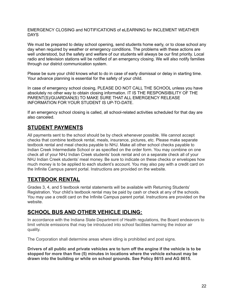#### EMERGENCY CLOSING and NOTIFICATIONS of eLEARNING for INCLEMENT WEATHER DAYS

We must be prepared to delay school opening, send students home early, or to close school any day when required by weather or emergency conditions. The problems with these actions are well understood, but the safety and welfare of our students will always be our first priority. Local radio and television stations will be notified of an emergency closing. We will also notify families through our district communication system.

Please be sure your child knows what to do in case of early dismissal or delay in starting time. Your advance planning is essential for the safety of your child.

In case of emergency school closing, PLEASE DO NOT CALL THE SCHOOL unless you have absolutely no other way to obtain closing information. IT IS THE RESPONSIBILITY OF THE PARENT(S)/GUARDIAN(S) TO MAKE SURE THAT ALL EMERGENCY RELEASE INFORMATION FOR YOUR STUDENT IS UP-TO-DATE.

If an emergency school closing is called, all school-related activities scheduled for that day are also canceled.

## <span id="page-22-0"></span>**STUDENT PAYMENTS**

All payments sent to the school should be by check whenever possible. We cannot accept checks that combine textbook rental, meals, insurance, pictures, etc. Please make separate textbook rental and meal checks payable to NHJ. Make all other school checks payable to Indian Creek Intermediate School or as specified on the order form. You may combine on one check all of your NHJ Indian Creek students' book rental and on a separate check all of your NHJ Indian Creek students' meal money. Be sure to indicate on these checks or envelopes how much money is to be applied to each student's account. You may also pay with a credit card on the Infinite Campus parent portal. Instructions are provided on the website.

## <span id="page-22-1"></span>**TEXTBOOK RENTAL**

Grades 3, 4, and 5 textbook rental statements will be available with Returning Students' Registration. Your child's textbook rental may be paid by cash or check at any of the schools. You may use a credit card on the Infinite Campus parent portal. Instructions are provided on the website.

#### <span id="page-22-2"></span>**SCHOOL BUS AND OTHER VEHICLE IDLING:**

In accordance with the Indiana State Department of Health regulations, the Board endeavors to limit vehicle emissions that may be introduced into school facilities harming the indoor air quality.

The Corporation shall determine areas where idling is prohibited and post signs.

Drivers of all public and private vehicles are to turn off the engine if the vehicle is to be **stopped for more than five (5) minutes in locations where the vehicle exhaust may be drawn into the building or while on school grounds. See Policy 8615 and AG 8615.**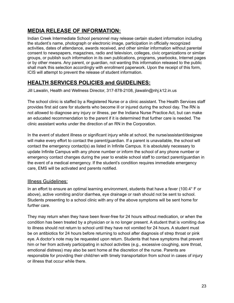## <span id="page-23-0"></span>**MEDIA RELEASE OF INFORMATION:**

Indian Creek Intermediate School personnel may release certain student information including the student's name, photograph or electronic image, participation in officially recognized activities, dates of attendance, awards received, and other similar information without parental consent to newspapers, magazines, radio and television, colleges, civic organizations or similar groups, or publish such information in its own publications, programs, yearbooks, Internet pages or by other means. Any parent, or guardian, not wanting this information released to the public shall mark this selection accordingly with enrollment paperwork. Upon the receipt of this form, ICIS will attempt to prevent the release of student information.

## <span id="page-23-1"></span>**HEALTH SERVICES POLICIES and GUIDELINES:**

Jill Lawalin, Health and Wellness Director, 317-878-2108, jlawalin@nhj.k12.in.us

The school clinic is staffed by a Registered Nurse or a clinic assistant. The Health Services staff provides first aid care for students who become ill or injured during the school day. The RN is not allowed to diagnose any injury or illness, per the Indiana Nurse Practice Act, but can make an educated recommendation to the parent if it is determined that further care is needed. The clinic assistant works under the direction of an RN in the Corporation.

In the event of student illness or significant injury while at school, the nurse/assistant/designee will make every effort to contact the parent/guardian. If a parent is unavailable, the school will contact the emergency contact(s) as listed in Infinite Campus. It is absolutely necessary to update Infinite Campus with any phone number or inform the school of any phone number or emergency contact changes during the year to enable school staff to contact parent/guardian in the event of a medical emergency. If the student's condition requires immediate emergency care, EMS will be activated and parents notified.

#### <span id="page-23-2"></span>Illness Guidelines:

In an effort to ensure an optimal learning environment, students that have a fever (100.4° F or above), active vomiting and/or diarrhea, eye drainage or rash should not be sent to school. Students presenting to a school clinic with any of the above symptoms will be sent home for further care.

They may return when they have been fever-free for 24 hours without medication, or when the condition has been treated by a physician or is no longer present. A student that is vomiting due to illness should not return to school until they have not vomited for 24 hours. A student must be on antibiotics for 24 hours before returning to school after diagnosis of strep throat or pink eye. A doctor's note may be requested upon return. Students that have symptoms that prevent him or her from actively participating in school activities (e.g., excessive coughing, sore throat, emotional distress) may also be sent home at the discretion of the nurse. Parents are responsible for providing their child/ren with timely transportation from school in cases of injury or illness that occur while there.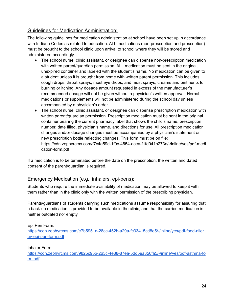#### <span id="page-24-0"></span>Guidelines for Medication Administration:

The following guidelines for medication administration at school have been set up in accordance with Indiana Codes as related to education. ALL medications (non-prescription and prescription) must be brought to the school clinic upon arrival to school where they will be stored and administered accordingly.

- The school nurse, clinic assistant, or designee can dispense non-prescription medication with written parent/guardian permission. ALL medication must be sent in the original, unexpired container and labeled with the student's name. No medication can be given to a student unless it is brought from home with written parent permission. This includes cough drops, throat sprays, most eye drops, and most sprays, creams and ointments for burning or itching. Any dosage amount requested in excess of the manufacturer's recommended dosage will not be given without a physician's written approval. Herbal medications or supplements will not be administered during the school day unless accompanied by a physician's order.
- The school nurse, clinic assistant, or designee can dispense prescription medication with written parent/guardian permission. Prescription medication must be sent in the original container bearing the current pharmacy label that shows the child's name, prescription number, date filled, physician's name, and directions for use. All prescription medication changes and/or dosage changes must be accompanied by a physician's statement or new prescription bottle reflecting changes. This form must be on file: https://cdn.zephyrcms.com/f7c4a59d-1f0c-4654-acea-f1fd041b273a/-/inline/yes/pdf-medi cation-form.pdf

If a medication is to be terminated before the date on the prescription, the written and dated consent of the parent/guardian is required.

#### <span id="page-24-1"></span>Emergency Medication (e.g., inhalers, epi-pens):

Students who require the immediate availability of medication may be allowed to keep it with them rather than in the clinic only with the written permission of the prescribing physician.

Parents/guardians of students carrying such medications assume responsibility for assuring that a back-up medication is provided to be available in the clinic, and that the carried medication is neither outdated nor empty.

Epi Pen Form:

[https://cdn.zephyrcms.com/e7b5951a-28cc-452b-a29a-fc33415cd8e5/-/inline/yes/pdf-food-aller](https://cdn.zephyrcms.com/e7b5951a-28cc-452b-a29a-fc33415cd8e5/-/inline/yes/pdf-food-allergy-epi-pen-form.pdf) [gy-epi-pen-form.pdf](https://cdn.zephyrcms.com/e7b5951a-28cc-452b-a29a-fc33415cd8e5/-/inline/yes/pdf-food-allergy-epi-pen-form.pdf)

Inhaler Form:

[https://cdn.zephyrcms.com/9825c95b-263c-4e88-87ea-5dd5ea356fa5/-/inline/yes/pdf-asthma-fo](https://cdn.zephyrcms.com/9825c95b-263c-4e88-87ea-5dd5ea356fa5/-/inline/yes/pdf-asthma-form.pdf) [rm.pdf](https://cdn.zephyrcms.com/9825c95b-263c-4e88-87ea-5dd5ea356fa5/-/inline/yes/pdf-asthma-form.pdf)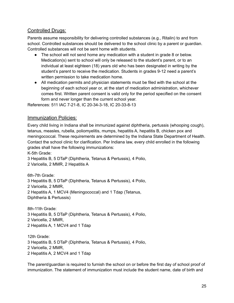#### <span id="page-25-0"></span>Controlled Drugs:

Parents assume responsibility for delivering controlled substances (e.g., Ritalin) to and from school. Controlled substances should be delivered to the school clinic by a parent or guardian. Controlled substances will not be sent home with students.

- The school will not send home any medication with a student in grade 8 or below. Medication(s) sent to school will only be released to the student's parent, or to an individual at least eighteen (18) years old who has been designated in writing by the student's parent to receive the medication. Students in grades 9-12 need a parent's written permission to take medication home.
- All medication permits and physician statements must be filed with the school at the beginning of each school year or, at the start of medication administration, whichever comes first. Written parent consent is valid only for the period specified on the consent form and never longer than the current school year.

<span id="page-25-1"></span>References: 511 IAC 7-21-8, IC 20-34-3-18, IC 20-33-8-13

#### Immunization Policies:

Every child living in Indiana shall be immunized against diphtheria, pertussis (whooping cough), tetanus, measles, rubella, poliomyelitis, mumps, hepatitis A, hepatitis B, chicken pox and meningococcal. These requirements are determined by the Indiana State Department of Health. Contact the school clinic for clarification. Per Indiana law, every child enrolled in the following grades shall have the following immunizations:

K-5th Grade:

3 Hepatitis B, 5 DTaP (Diphtheria, Tetanus & Pertussis), 4 Polio,

2 Varicella, 2 MMR, 2 Hepatitis A

6th-7th Grade: 3 Hepatitis B, 5 DTaP (Diphtheria, Tetanus & Pertussis), 4 Polio, 2 Varicella, 2 MMR, 2 Hepatitis A, 1 MCV4 (Meningococcal) and 1 Tdap (Tetanus, Diphtheria & Pertussis)

8th-11th Grade: Hepatitis B, 5 DTaP (Diphtheria, Tetanus & Pertussis), 4 Polio, Varicella, 2 MMR, Hepatitis A, 1 MCV4 and 1 Tdap

12th Grade: Hepatitis B, 5 DTaP (Diphtheria, Tetanus & Pertussis), 4 Polio, Varicella, 2 MMR, Hepatitis A, 2 MCV4 and 1 Tdap

The parent/guardian is required to furnish the school on or before the first day of school proof of immunization. The statement of immunization must include the student name, date of birth and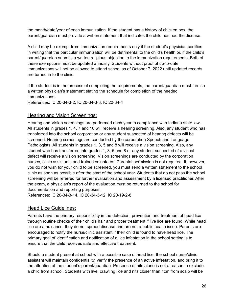the month/date/year of each immunization. If the student has a history of chicken pox, the parent/guardian must provide a written statement that indicates the child has had the disease.

A child may be exempt from immunization requirements only if the student's physician certifies in writing that the particular immunization will be detrimental to the child's health or, if the child's parent/guardian submits a written religious objection to the immunization requirements. Both of these exemptions must be updated annually. Students without proof of up-to-date immunizations will not be allowed to attend school as of October 7, 2022 until updated records are turned in to the clinic.

If the student is in the process of completing the requirements, the parent/guardian must furnish a written physician's statement stating the schedule for completion of the needed immunizations.

<span id="page-26-0"></span>References: IC 20-34-3-2, IC 20-34-3-3, IC 20-34-4

#### **Hearing and Vision Screenings:**

Hearing and Vision screenings are performed each year in compliance with Indiana state law. All students in grades 1, 4, 7 and 10 will receive a hearing screening. Also, any student who has transferred into the school corporation or any student suspected of hearing defects will be screened. Hearing screenings are conducted by the corporation Speech and Language Pathologists. All students in grades 1, 3, 5 and 8 will receive a vision screening. Also, any student who has transferred into grades 1, 3, 5 and 8 or any student suspected of a visual defect will receive a vision screening. Vision screenings are conducted by the corporation nurses, clinic assistants and trained volunteers. Parental permission is not required. If, however, you do not wish for your child to be screened, you must send a written statement to the school clinic as soon as possible after the start of the school year. Students that do not pass the school screening will be referred for further evaluation and assessment by a licensed practitioner. After the exam, a physician's report of the evaluation must be returned to the school for documentation and reporting purposes.

<span id="page-26-1"></span>References: IC 20-34-3-14, IC 20-34-3-12, IC 20-19-2-8

#### **Head Lice Guidelines:**

Parents have the primary responsibility in the detection, prevention and treatment of head lice through routine checks of their child's hair and proper treatment if live lice are found. While head lice are a nuisance, they do not spread disease and are not a public health issue. Parents are encouraged to notify the nurse/clinic assistant if their child is found to have head lice. The primary goal of identification and notification of a lice infestation in the school setting is to ensure that the child receives safe and effective treatment.

Should a student present at school with a possible case of head lice, the school nurse/clinic assistant will maintain confidentiality, verify the presence of an active infestation, and bring it to the attention of the student's parent/guardian. Presence of nits alone is not a reason to exclude a child from school. Students with live, crawling lice and nits closer than 1cm from scalp will be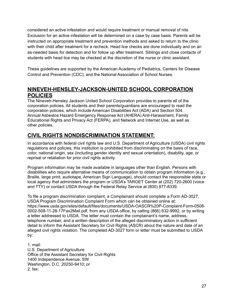considered an active infestation and would require treatment or manual removal of nits. Exclusion for an active infestation will be determined on a case by case basis. Parents will be instructed on appropriate treatment and prevention methods and asked to return to the clinic with their child after treatment for a recheck. Head lice checks are done individually and on an as-needed basis for detection and for follow up after treatment. Siblings and close contacts of students with head lice may be checked at the discretion of the nurse or clinic assistant.

These guidelines are supported by the American Academy of Pediatrics, Centers for Disease Control and Prevention (CDC), and the National Association of School Nurses.

#### <span id="page-27-0"></span>**NINEVEH-HENSLEY-JACKSON-UNITED SCHOOL CORPORATION POLICIES**

The Nineveh-Hensley Jackson United School Corporation provides to parents all of the corporation policies. All students and their parents/guardians are encouraged to read the corporation policies, which include American Disabilities Act (ADA) and Section 504, Annual Asbestos Hazard Emergency Response Act (AHERA) Anti-Harassment, Family Educational Rights and Privacy Act (FERPA), and Network and Internet Use, as well as other policies.

# <span id="page-27-1"></span>**CIVIL RIGHTS NONDISCRIMINATION STATEMENT:**

In accordance with federal civil rights law and U.S. Department of Agriculture (USDA) civil rights regulations and policies, this institution is prohibited from discriminating on the basis of race, color, national origin, sex (including gender identity and sexual orientation), disability, age, or reprisal or retaliation for prior civil rights activity.

Program information may be made available in languages other than English. Persons with disabilities who require alternative means of communication to obtain program information (e.g., Braille, large print, audiotape, American Sign Language), should contact the responsible state or local agency that administers the program or USDA's TARGET Center at (202) 720-2600 (voice and TTY) or contact USDA through the Federal Relay Service at (800) 877-8339.

To file a program discrimination complaint, a Complainant should complete a Form AD-3027, USDA Program Discrimination Complaint Form which can be obtained online at: https://www.usda.gov/sites/default/files/documents/USDA-OASCR%20P-Complaint-Form-0508- 0002-508-11-28-17Fax2Mail.pdf, from any USDA office, by calling (866) 632-9992, or by writing a letter addressed to USDA. The letter must contain the complainant's name, address, telephone number, and a written description of the alleged discriminatory action in sufficient detail to inform the Assistant Secretary for Civil Rights (ASCR) about the nature and date of an alleged civil rights violation. The completed AD-3027 form or letter must be submitted to USDA by:

1. mail: U.S. Department of Agriculture Office of the Assistant Secretary for Civil Rights 1400 Independence Avenue, SW Washington, D.C. 20250-9410; or 2. fax: